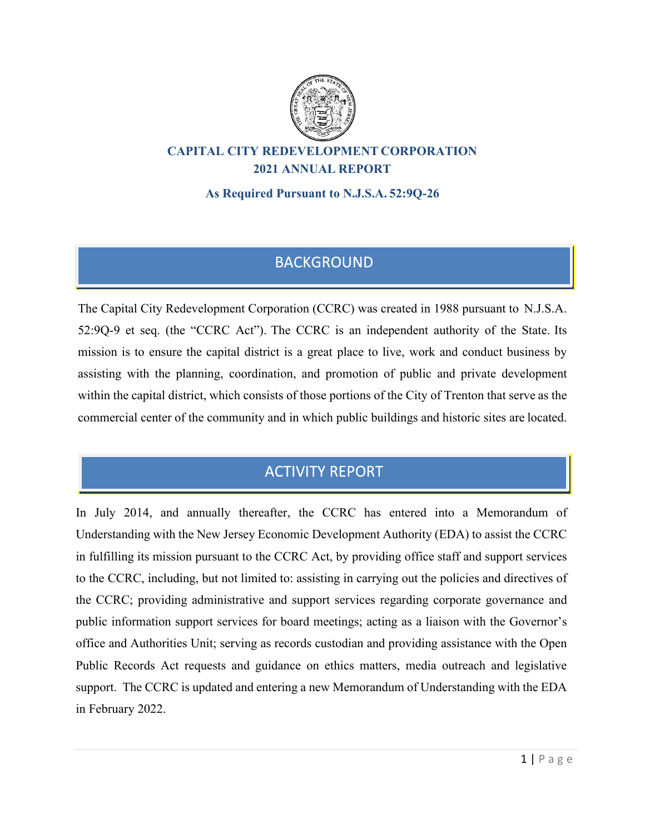

## **CAPITAL CITY REDEVELOPMENT CORPORATION 2021 ANNUAL REPORT**

**As Required Pursuant to N.J.S.A. 52:9Q-26**

# **BACKGROUND**

The Capital City Redevelopment Corporation (CCRC) was created in 1988 pursuant to N.J.S.A. 52:9Q-9 et seq. (the "CCRC Act"). The CCRC is an independent authority of the State. Its mission is to ensure the capital district is a great place to live, work and conduct business by assisting with the planning, coordination, and promotion of public and private development within the capital district, which consists of those portions of the City of Trenton that serve as the commercial center of the community and in which public buildings and historic sites are located.

# **ACTIVITY REPORT**

In July 2014, and annually thereafter, the CCRC has entered into a Memorandum of Understanding with the New Jersey Economic Development Authority (EDA) to assist the CCRC in fulfilling its mission pursuant to the CCRC Act, by providing office staff and support services to the CCRC, including, but not limited to: assisting in carrying out the policies and directives of the CCRC; providing administrative and support services regarding corporate governance and public information support services for board meetings; acting as a liaison with the Governor's office and Authorities Unit; serving as records custodian and providing assistance with the Open Public Records Act requests and guidance on ethics matters, media outreach and legislative support. The CCRC is updated and entering a new Memorandum of Understanding with the EDA in February 2022.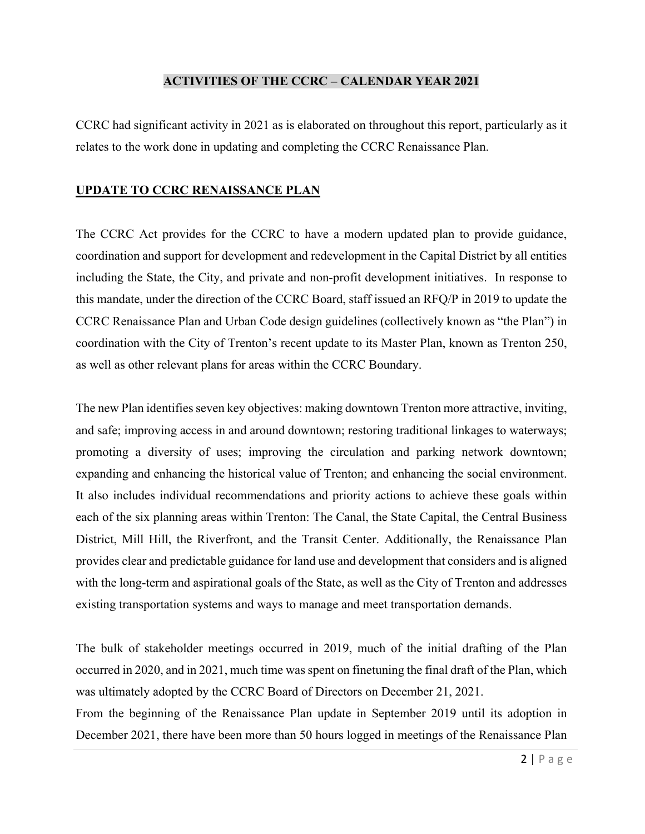#### **ACTIVITIES OF THE CCRC – CALENDAR YEAR 2021**

CCRC had significant activity in 2021 as is elaborated on throughout this report, particularly as it relates to the work done in updating and completing the CCRC Renaissance Plan.

#### **UPDATE TO CCRC RENAISSANCE PLAN**

The CCRC Act provides for the CCRC to have a modern updated plan to provide guidance, coordination and support for development and redevelopment in the Capital District by all entities including the State, the City, and private and non-profit development initiatives. In response to this mandate, under the direction of the CCRC Board, staff issued an RFQ/P in 2019 to update the CCRC Renaissance Plan and Urban Code design guidelines (collectively known as "the Plan") in coordination with the City of Trenton's recent update to its Master Plan, known as Trenton 250, as well as other relevant plans for areas within the CCRC Boundary.

The new Plan identifies seven key objectives: making downtown Trenton more attractive, inviting, and safe; improving access in and around downtown; restoring traditional linkages to waterways; promoting a diversity of uses; improving the circulation and parking network downtown; expanding and enhancing the historical value of Trenton; and enhancing the social environment. It also includes individual recommendations and priority actions to achieve these goals within each of the six planning areas within Trenton: The Canal, the State Capital, the Central Business District, Mill Hill, the Riverfront, and the Transit Center. Additionally, the Renaissance Plan provides clear and predictable guidance for land use and development that considers and is aligned with the long-term and aspirational goals of the State, as well as the City of Trenton and addresses existing transportation systems and ways to manage and meet transportation demands.

The bulk of stakeholder meetings occurred in 2019, much of the initial drafting of the Plan occurred in 2020, and in 2021, much time was spent on finetuning the final draft of the Plan, which was ultimately adopted by the CCRC Board of Directors on December 21, 2021.

From the beginning of the Renaissance Plan update in September 2019 until its adoption in December 2021, there have been more than 50 hours logged in meetings of the Renaissance Plan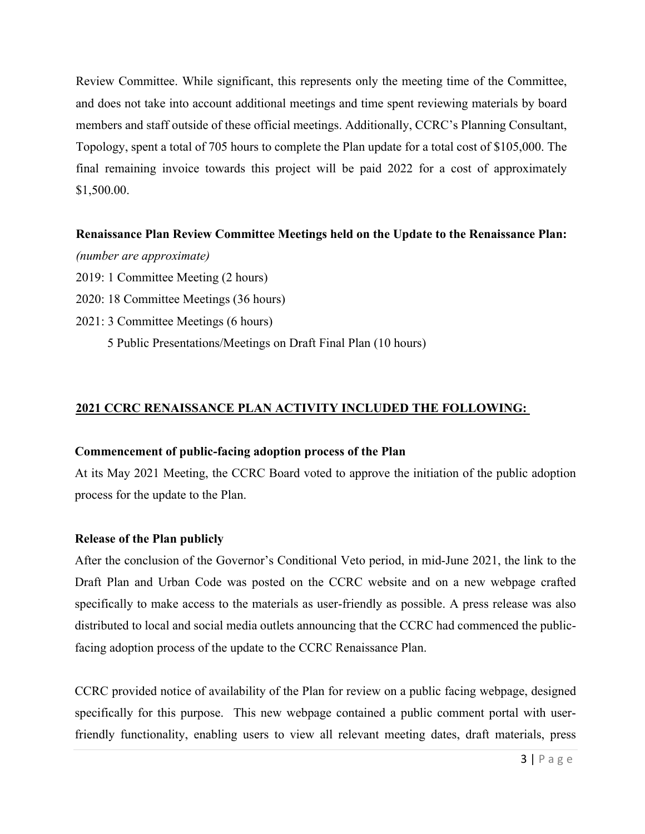Review Committee. While significant, this represents only the meeting time of the Committee, and does not take into account additional meetings and time spent reviewing materials by board members and staff outside of these official meetings. Additionally, CCRC's Planning Consultant, Topology, spent a total of 705 hours to complete the Plan update for a total cost of \$105,000. The final remaining invoice towards this project will be paid 2022 for a cost of approximately \$1,500.00.

## **Renaissance Plan Review Committee Meetings held on the Update to the Renaissance Plan:** *(number are approximate)*

2019: 1 Committee Meeting (2 hours) 2020: 18 Committee Meetings (36 hours) 2021: 3 Committee Meetings (6 hours) 5 Public Presentations/Meetings on Draft Final Plan (10 hours)

## **2021 CCRC RENAISSANCE PLAN ACTIVITY INCLUDED THE FOLLOWING:**

#### **Commencement of public-facing adoption process of the Plan**

At its May 2021 Meeting, the CCRC Board voted to approve the initiation of the public adoption process for the update to the Plan.

## **Release of the Plan publicly**

After the conclusion of the Governor's Conditional Veto period, in mid-June 2021, the link to the Draft Plan and Urban Code was posted on the CCRC website and on a new webpage crafted specifically to make access to the materials as user-friendly as possible. A press release was also distributed to local and social media outlets announcing that the CCRC had commenced the publicfacing adoption process of the update to the CCRC Renaissance Plan.

CCRC provided notice of availability of the Plan for review on a public facing webpage, designed specifically for this purpose. This new webpage contained a public comment portal with userfriendly functionality, enabling users to view all relevant meeting dates, draft materials, press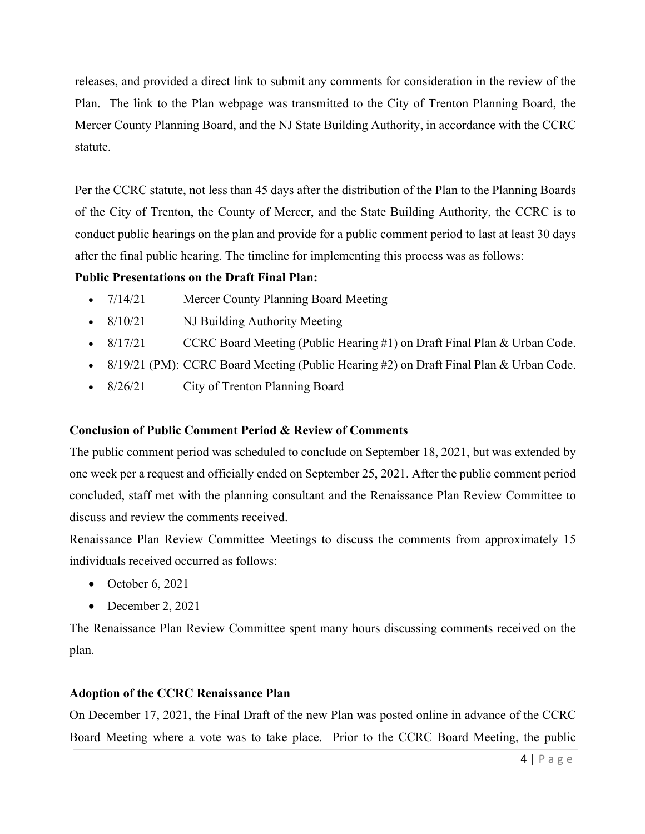releases, and provided a direct link to submit any comments for consideration in the review of the Plan. The link to the Plan webpage was transmitted to the City of Trenton Planning Board, the Mercer County Planning Board, and the NJ State Building Authority, in accordance with the CCRC statute.

Per the CCRC statute, not less than 45 days after the distribution of the Plan to the Planning Boards of the City of Trenton, the County of Mercer, and the State Building Authority, the CCRC is to conduct public hearings on the plan and provide for a public comment period to last at least 30 days after the final public hearing. The timeline for implementing this process was as follows:

#### **Public Presentations on the Draft Final Plan:**

- 7/14/21 Mercer County Planning Board Meeting
- 8/10/21 NJ Building Authority Meeting
- 8/17/21 CCRC Board Meeting (Public Hearing #1) on Draft Final Plan & Urban Code.
- 8/19/21 (PM): CCRC Board Meeting (Public Hearing #2) on Draft Final Plan & Urban Code.
- 8/26/21 City of Trenton Planning Board

#### **Conclusion of Public Comment Period & Review of Comments**

The public comment period was scheduled to conclude on September 18, 2021, but was extended by one week per a request and officially ended on September 25, 2021. After the public comment period concluded, staff met with the planning consultant and the Renaissance Plan Review Committee to discuss and review the comments received.

Renaissance Plan Review Committee Meetings to discuss the comments from approximately 15 individuals received occurred as follows:

- October  $6, 2021$
- December 2, 2021

The Renaissance Plan Review Committee spent many hours discussing comments received on the plan.

#### **Adoption of the CCRC Renaissance Plan**

On December 17, 2021, the Final Draft of the new Plan was posted online in advance of the CCRC Board Meeting where a vote was to take place. Prior to the CCRC Board Meeting, the public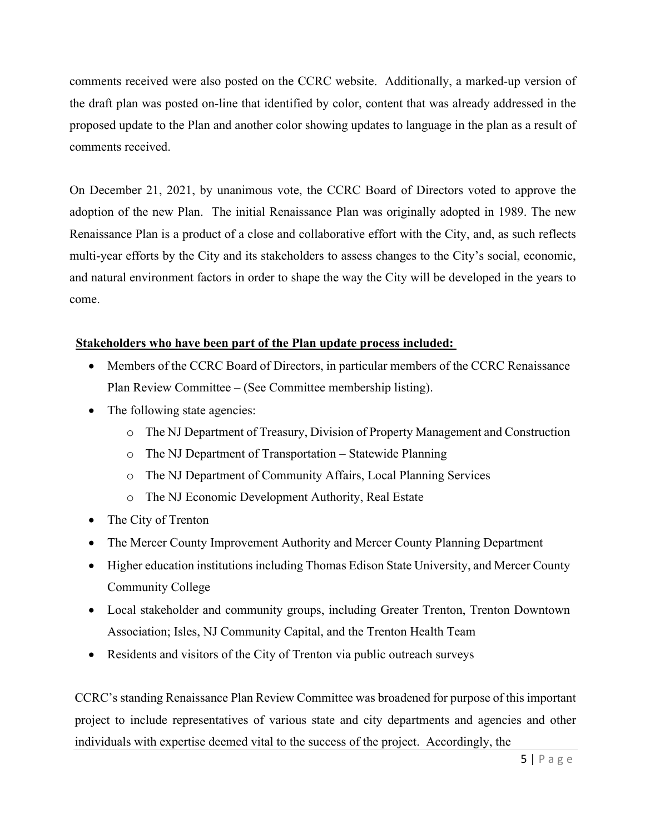comments received were also posted on the CCRC website. Additionally, a marked-up version of the draft plan was posted on-line that identified by color, content that was already addressed in the proposed update to the Plan and another color showing updates to language in the plan as a result of comments received.

On December 21, 2021, by unanimous vote, the CCRC Board of Directors voted to approve the adoption of the new Plan. The initial Renaissance Plan was originally adopted in 1989. The new Renaissance Plan is a product of a close and collaborative effort with the City, and, as such reflects multi-year efforts by the City and its stakeholders to assess changes to the City's social, economic, and natural environment factors in order to shape the way the City will be developed in the years to come.

#### **Stakeholders who have been part of the Plan update process included:**

- Members of the CCRC Board of Directors, in particular members of the CCRC Renaissance Plan Review Committee – (See Committee membership listing).
- The following state agencies:
	- o The NJ Department of Treasury, Division of Property Management and Construction
	- o The NJ Department of Transportation Statewide Planning
	- o The NJ Department of Community Affairs, Local Planning Services
	- o The NJ Economic Development Authority, Real Estate
- The City of Trenton
- The Mercer County Improvement Authority and Mercer County Planning Department
- Higher education institutions including Thomas Edison State University, and Mercer County Community College
- Local stakeholder and community groups, including Greater Trenton, Trenton Downtown Association; Isles, NJ Community Capital, and the Trenton Health Team
- Residents and visitors of the City of Trenton via public outreach surveys

CCRC's standing Renaissance Plan Review Committee was broadened for purpose of this important project to include representatives of various state and city departments and agencies and other individuals with expertise deemed vital to the success of the project. Accordingly, the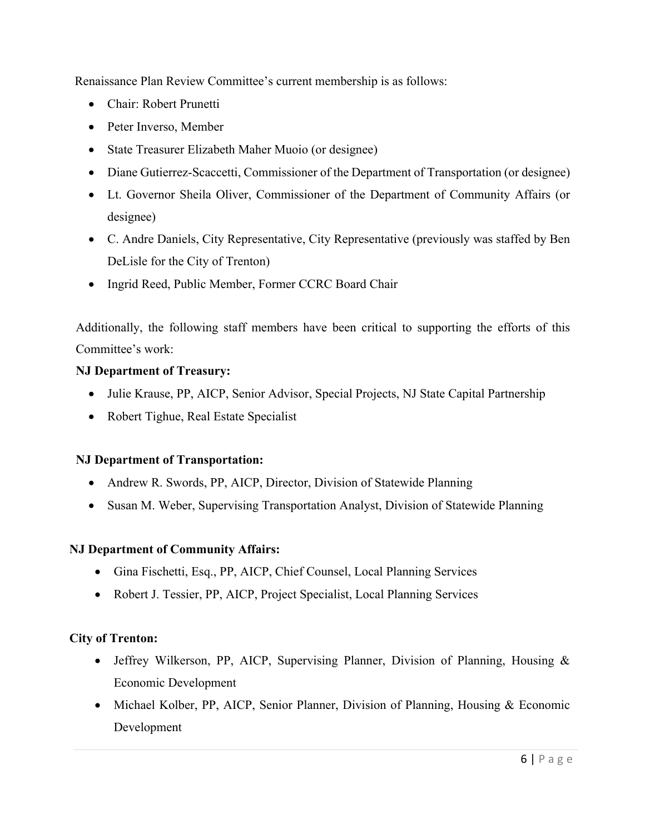Renaissance Plan Review Committee's current membership is as follows:

- Chair: Robert Prunetti
- Peter Inverso, Member
- State Treasurer Elizabeth Maher Muoio (or designee)
- Diane Gutierrez-Scaccetti, Commissioner of the Department of Transportation (or designee)
- Lt. Governor Sheila Oliver, Commissioner of the Department of Community Affairs (or designee)
- C. Andre Daniels, City Representative, City Representative (previously was staffed by Ben DeLisle for the City of Trenton)
- Ingrid Reed, Public Member, Former CCRC Board Chair

Additionally, the following staff members have been critical to supporting the efforts of this Committee's work:

#### **NJ Department of Treasury:**

- Julie Krause, PP, AICP, Senior Advisor, Special Projects, NJ State Capital Partnership
- Robert Tighue, Real Estate Specialist

#### **NJ Department of Transportation:**

- Andrew R. Swords, PP, AICP, Director, Division of Statewide Planning
- Susan M. Weber, Supervising Transportation Analyst, Division of Statewide Planning

#### **NJ Department of Community Affairs:**

- Gina Fischetti, Esq., PP, AICP, Chief Counsel, Local Planning Services
- Robert J. Tessier, PP, AICP, Project Specialist, Local Planning Services

#### **City of Trenton:**

- Jeffrey Wilkerson, PP, AICP, Supervising Planner, Division of Planning, Housing & Economic Development
- Michael Kolber, PP, AICP, Senior Planner, Division of Planning, Housing & Economic Development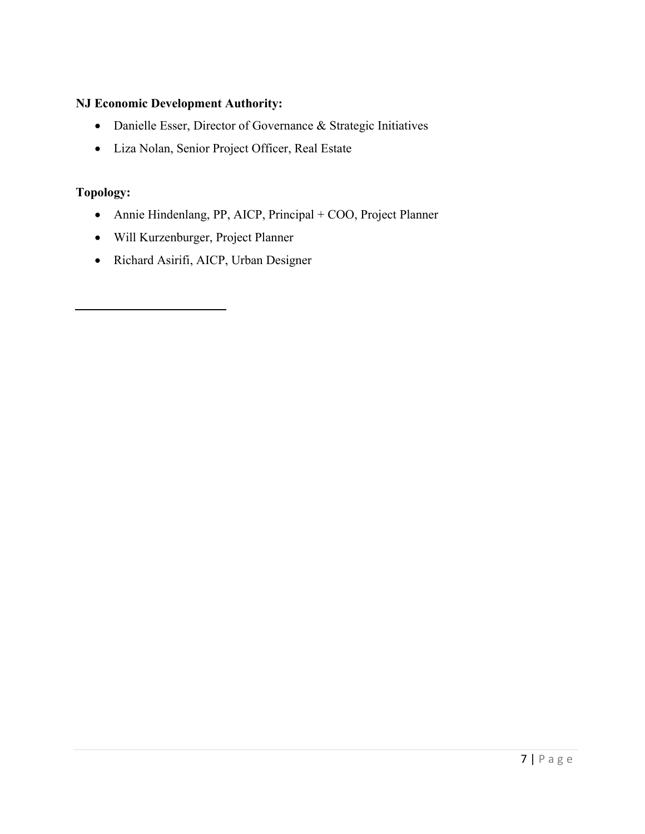#### **NJ Economic Development Authority:**

- Danielle Esser, Director of Governance & Strategic Initiatives
- Liza Nolan, Senior Project Officer, Real Estate

## **Topology:**

- Annie Hindenlang, PP, AICP, Principal + COO, Project Planner
- Will Kurzenburger, Project Planner
- Richard Asirifi, AICP, Urban Designer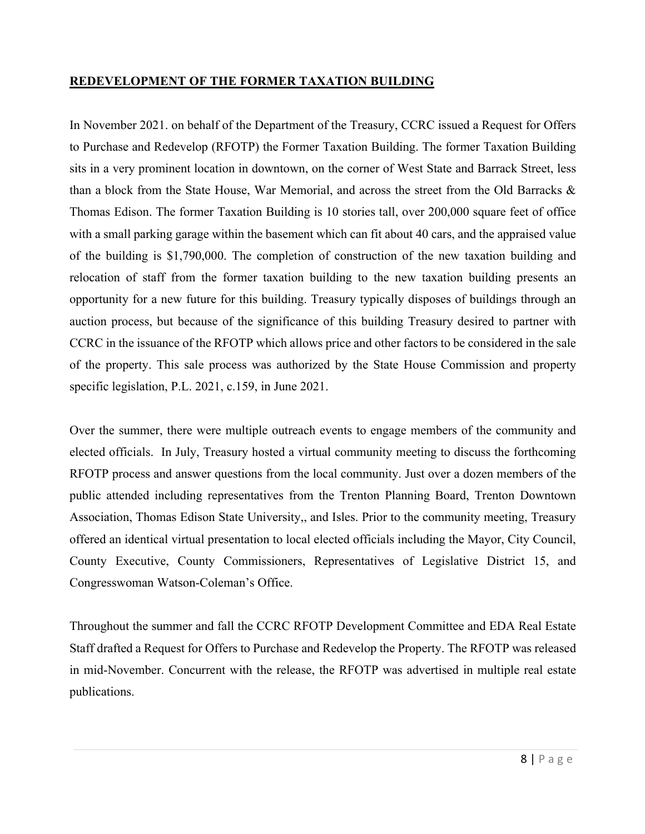#### **REDEVELOPMENT OF THE FORMER TAXATION BUILDING**

In November 2021. on behalf of the Department of the Treasury, CCRC issued a Request for Offers to Purchase and Redevelop (RFOTP) the Former Taxation Building. The former Taxation Building sits in a very prominent location in downtown, on the corner of West State and Barrack Street, less than a block from the State House, War Memorial, and across the street from the Old Barracks & Thomas Edison. The former Taxation Building is 10 stories tall, over 200,000 square feet of office with a small parking garage within the basement which can fit about 40 cars, and the appraised value of the building is \$1,790,000. The completion of construction of the new taxation building and relocation of staff from the former taxation building to the new taxation building presents an opportunity for a new future for this building. Treasury typically disposes of buildings through an auction process, but because of the significance of this building Treasury desired to partner with CCRC in the issuance of the RFOTP which allows price and other factors to be considered in the sale of the property. This sale process was authorized by the State House Commission and property specific legislation, P.L. 2021, c.159, in June 2021.

Over the summer, there were multiple outreach events to engage members of the community and elected officials. In July, Treasury hosted a virtual community meeting to discuss the forthcoming RFOTP process and answer questions from the local community. Just over a dozen members of the public attended including representatives from the Trenton Planning Board, Trenton Downtown Association, Thomas Edison State University,, and Isles. Prior to the community meeting, Treasury offered an identical virtual presentation to local elected officials including the Mayor, City Council, County Executive, County Commissioners, Representatives of Legislative District 15, and Congresswoman Watson-Coleman's Office.

Throughout the summer and fall the CCRC RFOTP Development Committee and EDA Real Estate Staff drafted a Request for Offers to Purchase and Redevelop the Property. The RFOTP was released in mid-November. Concurrent with the release, the RFOTP was advertised in multiple real estate publications.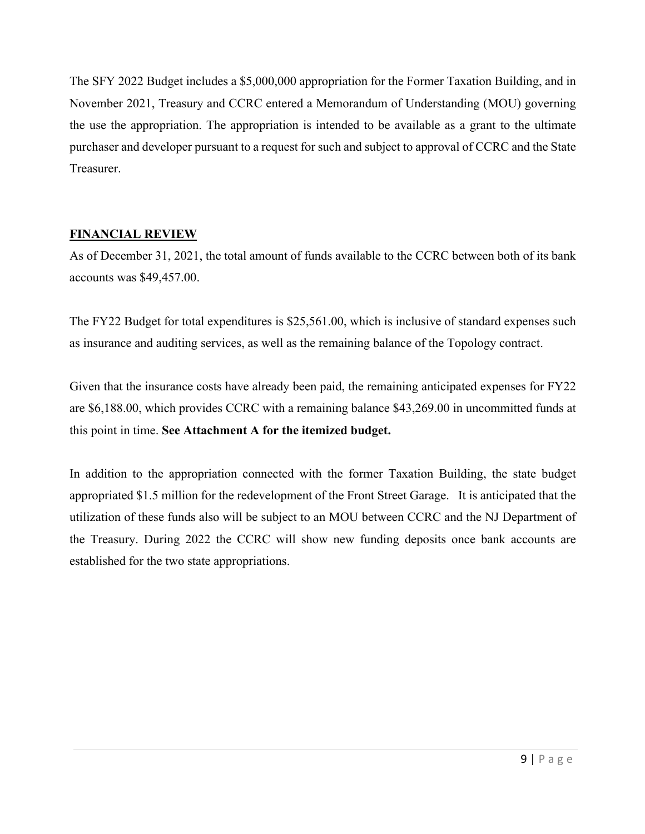The SFY 2022 Budget includes a \$5,000,000 appropriation for the Former Taxation Building, and in November 2021, Treasury and CCRC entered a Memorandum of Understanding (MOU) governing the use the appropriation. The appropriation is intended to be available as a grant to the ultimate purchaser and developer pursuant to a request for such and subject to approval of CCRC and the State Treasurer.

#### **FINANCIAL REVIEW**

As of December 31, 2021, the total amount of funds available to the CCRC between both of its bank accounts was \$49,457.00.

The FY22 Budget for total expenditures is \$25,561.00, which is inclusive of standard expenses such as insurance and auditing services, as well as the remaining balance of the Topology contract.

Given that the insurance costs have already been paid, the remaining anticipated expenses for FY22 are \$6,188.00, which provides CCRC with a remaining balance \$43,269.00 in uncommitted funds at this point in time. **See Attachment A for the itemized budget.**

In addition to the appropriation connected with the former Taxation Building, the state budget appropriated \$1.5 million for the redevelopment of the Front Street Garage. It is anticipated that the utilization of these funds also will be subject to an MOU between CCRC and the NJ Department of the Treasury. During 2022 the CCRC will show new funding deposits once bank accounts are established for the two state appropriations.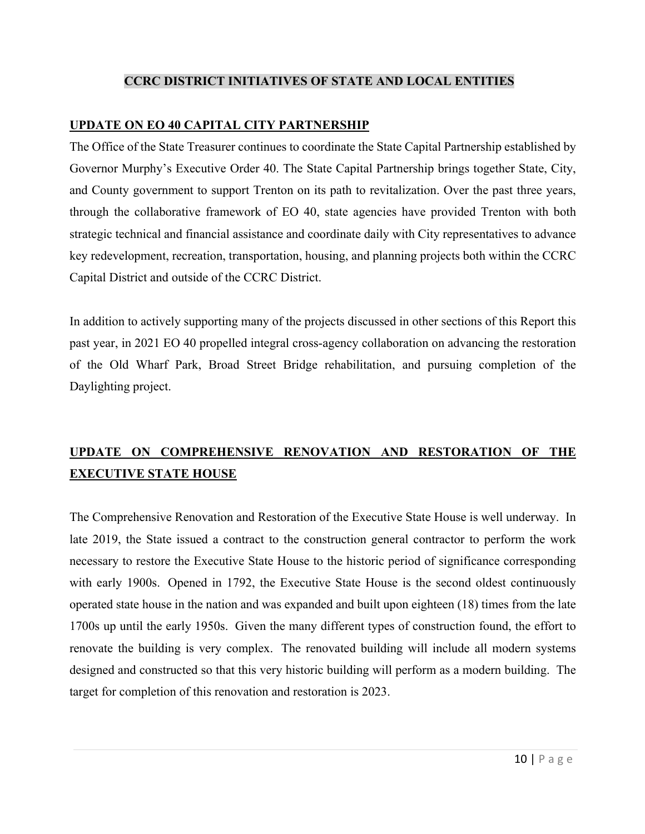#### **CCRC DISTRICT INITIATIVES OF STATE AND LOCAL ENTITIES**

#### **UPDATE ON EO 40 CAPITAL CITY PARTNERSHIP**

The Office of the State Treasurer continues to coordinate the State Capital Partnership established by Governor Murphy's Executive Order 40. The State Capital Partnership brings together State, City, and County government to support Trenton on its path to revitalization. Over the past three years, through the collaborative framework of EO 40, state agencies have provided Trenton with both strategic technical and financial assistance and coordinate daily with City representatives to advance key redevelopment, recreation, transportation, housing, and planning projects both within the CCRC Capital District and outside of the CCRC District.

In addition to actively supporting many of the projects discussed in other sections of this Report this past year, in 2021 EO 40 propelled integral cross-agency collaboration on advancing the restoration of the Old Wharf Park, Broad Street Bridge rehabilitation, and pursuing completion of the Daylighting project.

## **UPDATE ON COMPREHENSIVE RENOVATION AND RESTORATION OF THE EXECUTIVE STATE HOUSE**

The Comprehensive Renovation and Restoration of the Executive State House is well underway. In late 2019, the State issued a contract to the construction general contractor to perform the work necessary to restore the Executive State House to the historic period of significance corresponding with early 1900s. Opened in 1792, the Executive State House is the second oldest continuously operated state house in the nation and was expanded and built upon eighteen (18) times from the late 1700s up until the early 1950s. Given the many different types of construction found, the effort to renovate the building is very complex. The renovated building will include all modern systems designed and constructed so that this very historic building will perform as a modern building. The target for completion of this renovation and restoration is 2023.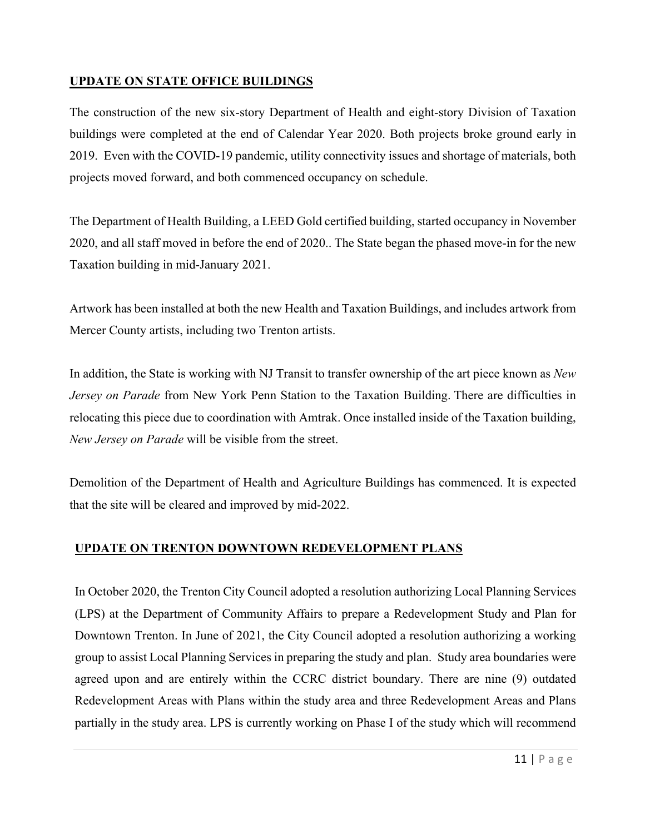## **UPDATE ON STATE OFFICE BUILDINGS**

The construction of the new six-story Department of Health and eight-story Division of Taxation buildings were completed at the end of Calendar Year 2020. Both projects broke ground early in 2019. Even with the COVID-19 pandemic, utility connectivity issues and shortage of materials, both projects moved forward, and both commenced occupancy on schedule.

The Department of Health Building, a LEED Gold certified building, started occupancy in November 2020, and all staff moved in before the end of 2020.. The State began the phased move-in for the new Taxation building in mid-January 2021.

Artwork has been installed at both the new Health and Taxation Buildings, and includes artwork from Mercer County artists, including two Trenton artists.

In addition, the State is working with NJ Transit to transfer ownership of the art piece known as *New Jersey on Parade* from New York Penn Station to the Taxation Building. There are difficulties in relocating this piece due to coordination with Amtrak. Once installed inside of the Taxation building, *New Jersey on Parade* will be visible from the street.

Demolition of the Department of Health and Agriculture Buildings has commenced. It is expected that the site will be cleared and improved by mid-2022.

## **UPDATE ON TRENTON DOWNTOWN REDEVELOPMENT PLANS**

In October 2020, the Trenton City Council adopted a resolution authorizing Local Planning Services (LPS) at the Department of Community Affairs to prepare a Redevelopment Study and Plan for Downtown Trenton. In June of 2021, the City Council adopted a resolution authorizing a working group to assist Local Planning Services in preparing the study and plan. Study area boundaries were agreed upon and are entirely within the CCRC district boundary. There are nine (9) outdated Redevelopment Areas with Plans within the study area and three Redevelopment Areas and Plans partially in the study area. LPS is currently working on Phase I of the study which will recommend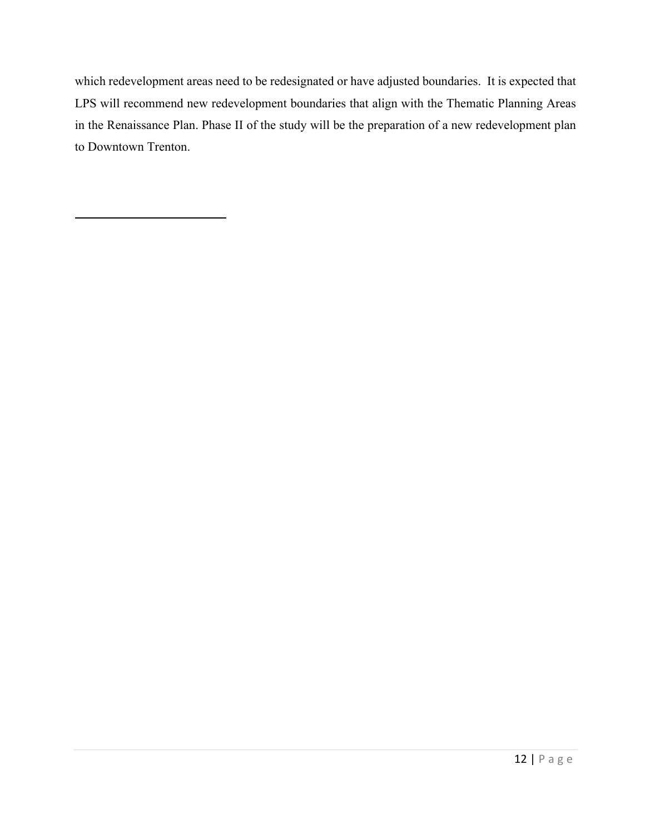which redevelopment areas need to be redesignated or have adjusted boundaries. It is expected that LPS will recommend new redevelopment boundaries that align with the Thematic Planning Areas in the Renaissance Plan. Phase II of the study will be the preparation of a new redevelopment plan to Downtown Trenton.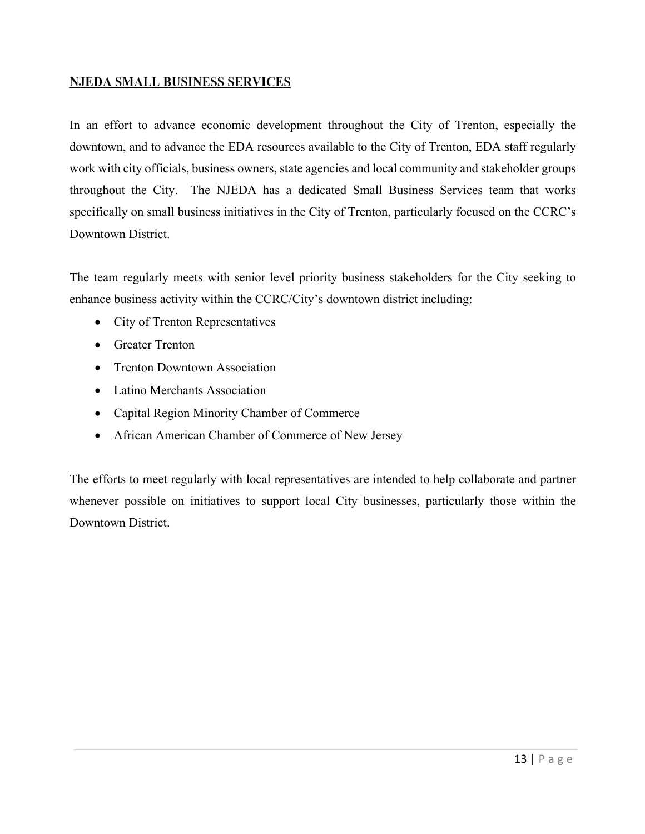### **NJEDA SMALL BUSINESS SERVICES**

In an effort to advance economic development throughout the City of Trenton, especially the downtown, and to advance the EDA resources available to the City of Trenton, EDA staff regularly work with city officials, business owners, state agencies and local community and stakeholder groups throughout the City. The NJEDA has a dedicated Small Business Services team that works specifically on small business initiatives in the City of Trenton, particularly focused on the CCRC's Downtown District.

The team regularly meets with senior level priority business stakeholders for the City seeking to enhance business activity within the CCRC/City's downtown district including:

- City of Trenton Representatives
- Greater Trenton
- Trenton Downtown Association
- Latino Merchants Association
- Capital Region Minority Chamber of Commerce
- African American Chamber of Commerce of New Jersey

The efforts to meet regularly with local representatives are intended to help collaborate and partner whenever possible on initiatives to support local City businesses, particularly those within the Downtown District.